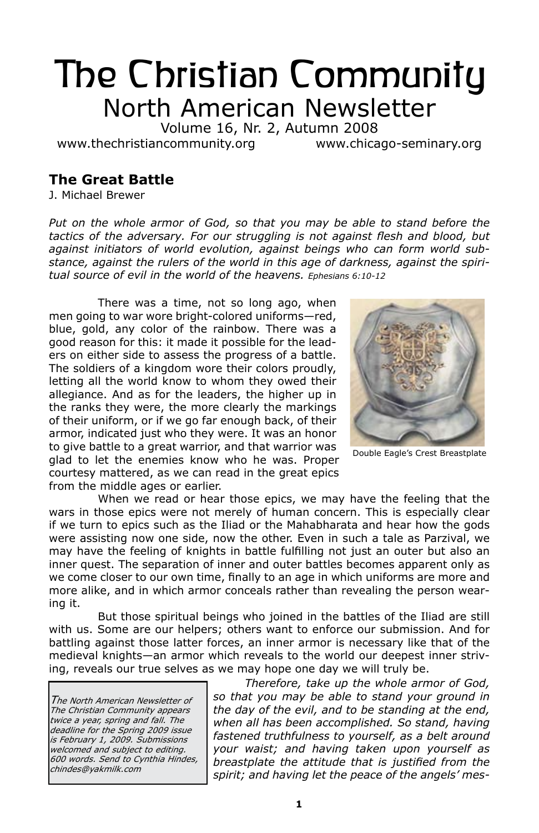# The Christian Community North American Newsletter

Volume 16, Nr. 2, Autumn 2008

www.thechristiancommunity.org www.chicago-seminary.org

# **The Great Battle**

J. Michael Brewer

Put on the whole armor of God, so that you may be able to stand before the *tactics of the adversary. For our struggling is not against flesh and blood, but against initiators of world evolution, against beings who can form world substance, against the rulers of the world in this age of darkness, against the spiritual source of evil in the world of the heavens. Ephesians 6:10-12*

There was a time, not so long ago, when men going to war wore bright-colored uniforms—red, blue, gold, any color of the rainbow. There was a good reason for this: it made it possible for the leaders on either side to assess the progress of a battle. The soldiers of a kingdom wore their colors proudly, letting all the world know to whom they owed their allegiance. And as for the leaders, the higher up in the ranks they were, the more clearly the markings of their uniform, or if we go far enough back, of their armor, indicated just who they were. It was an honor to give battle to a great warrior, and that warrior was glad to let the enemies know who he was. Proper courtesy mattered, as we can read in the great epics from the middle ages or earlier.



Double Eagle's Crest Breastplate

When we read or hear those epics, we may have the feeling that the wars in those epics were not merely of human concern. This is especially clear if we turn to epics such as the Iliad or the Mahabharata and hear how the gods were assisting now one side, now the other. Even in such a tale as Parzival, we may have the feeling of knights in battle fulfilling not just an outer but also an inner quest. The separation of inner and outer battles becomes apparent only as we come closer to our own time, finally to an age in which uniforms are more and more alike, and in which armor conceals rather than revealing the person wearing it.

But those spiritual beings who joined in the battles of the Iliad are still with us. Some are our helpers; others want to enforce our submission. And for battling against those latter forces, an inner armor is necessary like that of the medieval knights—an armor which reveals to the world our deepest inner striving, reveals our true selves as we may hope one day we will truly be.

The North American Newsletter of The Christian Community appears twice a year, spring and fall. The deadline for the Spring 2009 issue is February 1, 2009. Submissions welcomed and subject to editing. 600 words. Send to Cynthia Hindes, chindes@yakmilk.com

*Therefore, take up the whole armor of God, so that you may be able to stand your ground in the day of the evil, and to be standing at the end, when all has been accomplished. So stand, having fastened truthfulness to yourself, as a belt around your waist; and having taken upon yourself as breastplate the attitude that is justified from the spirit; and having let the peace of the angels' mes-*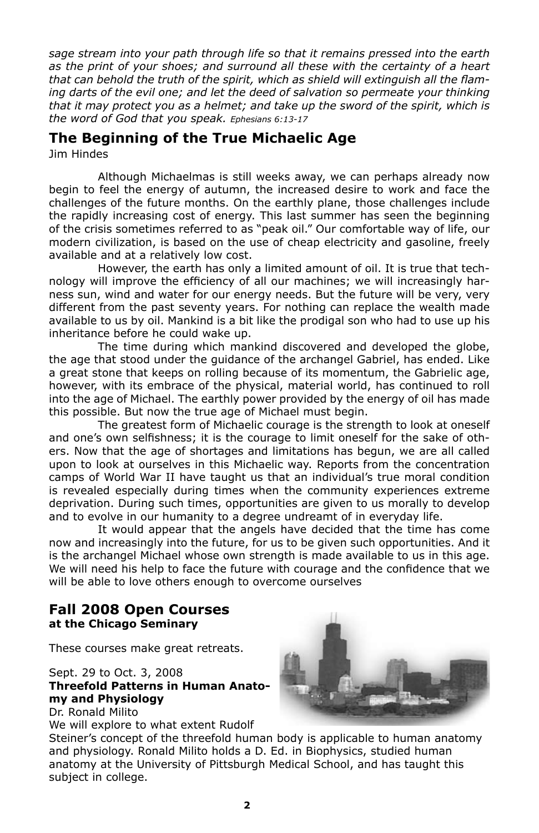*sage stream into your path through life so that it remains pressed into the earth as the print of your shoes; and surround all these with the certainty of a heart that can behold the truth of the spirit, which as shield will extinguish all the flaming darts of the evil one; and let the deed of salvation so permeate your thinking that it may protect you as a helmet; and take up the sword of the spirit, which is the word of God that you speak. Ephesians 6:13-17*

# **The Beginning of the True Michaelic Age**

Jim Hindes

Although Michaelmas is still weeks away, we can perhaps already now begin to feel the energy of autumn, the increased desire to work and face the challenges of the future months. On the earthly plane, those challenges include the rapidly increasing cost of energy. This last summer has seen the beginning of the crisis sometimes referred to as "peak oil." Our comfortable way of life, our modern civilization, is based on the use of cheap electricity and gasoline, freely available and at a relatively low cost.

However, the earth has only a limited amount of oil. It is true that technology will improve the efficiency of all our machines; we will increasingly harness sun, wind and water for our energy needs. But the future will be very, very different from the past seventy years. For nothing can replace the wealth made available to us by oil. Mankind is a bit like the prodigal son who had to use up his inheritance before he could wake up.

The time during which mankind discovered and developed the globe, the age that stood under the guidance of the archangel Gabriel, has ended. Like a great stone that keeps on rolling because of its momentum, the Gabrielic age, however, with its embrace of the physical, material world, has continued to roll into the age of Michael. The earthly power provided by the energy of oil has made this possible. But now the true age of Michael must begin.

The greatest form of Michaelic courage is the strength to look at oneself and one's own selfishness; it is the courage to limit oneself for the sake of others. Now that the age of shortages and limitations has begun, we are all called upon to look at ourselves in this Michaelic way. Reports from the concentration camps of World War II have taught us that an individual's true moral condition is revealed especially during times when the community experiences extreme deprivation. During such times, opportunities are given to us morally to develop and to evolve in our humanity to a degree undreamt of in everyday life.

It would appear that the angels have decided that the time has come now and increasingly into the future, for us to be given such opportunities. And it is the archangel Michael whose own strength is made available to us in this age. We will need his help to face the future with courage and the confidence that we will be able to love others enough to overcome ourselves

### **Fall 2008 Open Courses at the Chicago Seminary**

These courses make great retreats.

### Sept. 29 to Oct. 3, 2008 **Threefold Patterns in Human Anatomy and Physiology** Dr. Ronald Milito

We will explore to what extent Rudolf

Steiner's concept of the threefold human body is applicable to human anatomy and physiology. Ronald Milito holds a D. Ed. in Biophysics, studied human anatomy at the University of Pittsburgh Medical School, and has taught this subject in college.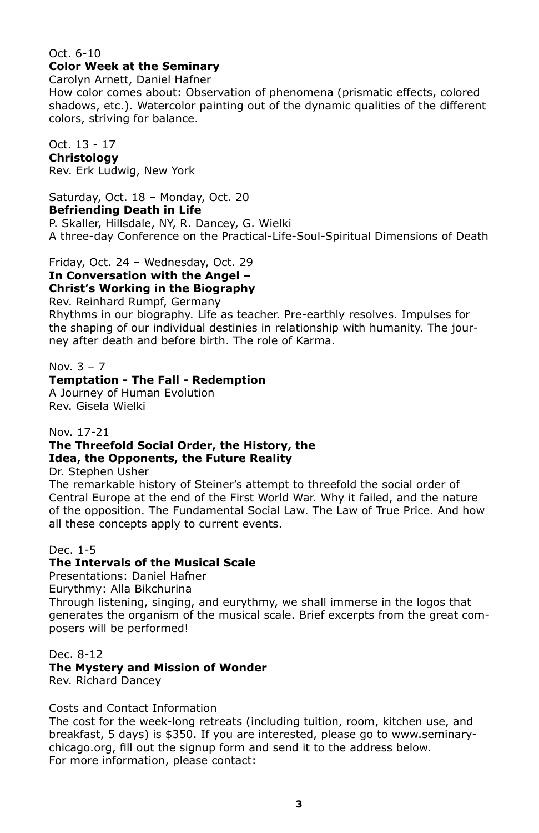### Oct. 6-10 **Color Week at the Seminary**

Carolyn Arnett, Daniel Hafner

How color comes about: Observation of phenomena (prismatic effects, colored shadows, etc.). Watercolor painting out of the dynamic qualities of the different colors, striving for balance.

Oct. 13 - 17 **Christology** Rev. Erk Ludwig, New York

Saturday, Oct. 18 – Monday, Oct. 20 **Befriending Death in Life** P. Skaller, Hillsdale, NY, R. Dancey, G. Wielki A three-day Conference on the Practical-Life-Soul-Spiritual Dimensions of Death

Friday, Oct. 24 – Wednesday, Oct. 29

**In Conversation with the Angel –**

**Christ's Working in the Biography**

Rev. Reinhard Rumpf, Germany

Rhythms in our biography. Life as teacher. Pre-earthly resolves. Impulses for the shaping of our individual destinies in relationship with humanity. The journey after death and before birth. The role of Karma.

### Nov. 3 – 7

### **Temptation - The Fall - Redemption**

A Journey of Human Evolution Rev. Gisela Wielki

### Nov. 17-21

### **The Threefold Social Order, the History, the Idea, the Opponents, the Future Reality**

Dr. Stephen Usher

The remarkable history of Steiner's attempt to threefold the social order of Central Europe at the end of the First World War. Why it failed, and the nature of the opposition. The Fundamental Social Law. The Law of True Price. And how all these concepts apply to current events.

### Dec. 1-5

### **The Intervals of the Musical Scale**

Presentations: Daniel Hafner

Eurythmy: Alla Bikchurina

Through listening, singing, and eurythmy, we shall immerse in the logos that generates the organism of the musical scale. Brief excerpts from the great composers will be performed!

### Dec. 8-12

### **The Mystery and Mission of Wonder**

Rev. Richard Dancey

### Costs and Contact Information

The cost for the week-long retreats (including tuition, room, kitchen use, and breakfast, 5 days) is \$350. If you are interested, please go to www.seminarychicago.org, fill out the signup form and send it to the address below. For more information, please contact: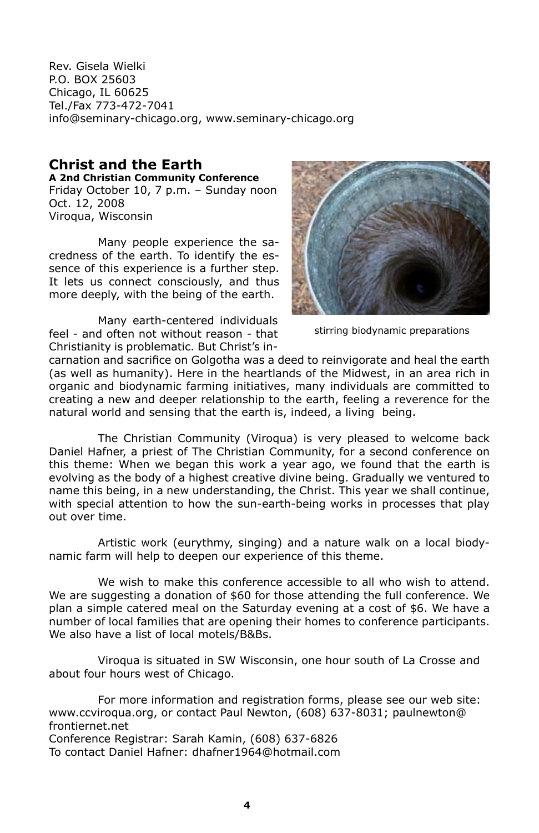Rev. Gisela Wielki P.O. BOX 25603 Chicago, IL 60625 Tel./Fax 773-472-7041 info@seminary-chicago.org, www.seminary-chicago.org

### **Christ and the Earth A 2nd Christian Community Conference**

Friday October 10, 7 p.m. – Sunday noon Oct. 12, 2008 Viroqua, Wisconsin

Many people experience the sacredness of the earth. To identify the essence of this experience is a further step. It lets us connect consciously, and thus more deeply, with the being of the earth.

Many earth-centered individuals feel - and often not without reason - that Christianity is problematic. But Christ's in-



stirring biodynamic preparations

carnation and sacrifice on Golgotha was a deed to reinvigorate and heal the earth (as well as humanity). Here in the heartlands of the Midwest, in an area rich in organic and biodynamic farming initiatives, many individuals are committed to creating a new and deeper relationship to the earth, feeling a reverence for the natural world and sensing that the earth is, indeed, a living being.

The Christian Community (Viroqua) is very pleased to welcome back Daniel Hafner, a priest of The Christian Community, for a second conference on this theme: When we began this work a year ago, we found that the earth is evolving as the body of a highest creative divine being. Gradually we ventured to name this being, in a new understanding, the Christ. This year we shall continue, with special attention to how the sun-earth-being works in processes that play out over time.

Artistic work (eurythmy, singing) and a nature walk on a local biodynamic farm will help to deepen our experience of this theme.

We wish to make this conference accessible to all who wish to attend. We are suggesting a donation of \$60 for those attending the full conference. We plan a simple catered meal on the Saturday evening at a cost of \$6. We have a number of local families that are opening their homes to conference participants. We also have a list of local motels/B&Bs.

Viroqua is situated in SW Wisconsin, one hour south of La Crosse and about four hours west of Chicago.

For more information and registration forms, please see our web site: www.ccviroqua.org, or contact Paul Newton, (608) 637-8031; paulnewton@ frontiernet.net Conference Registrar: Sarah Kamin, (608) 637-6826

To contact Daniel Hafner: dhafner1964@hotmail.com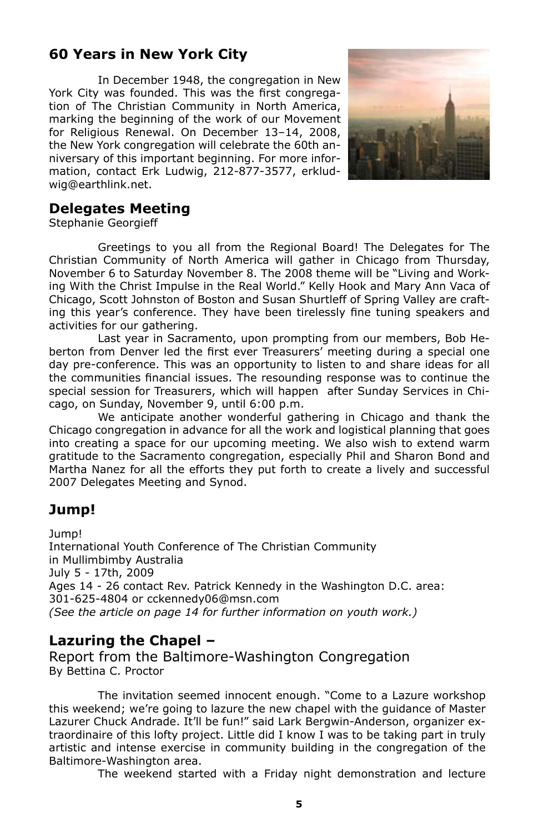# **60 Years in New York City**

In December 1948, the congregation in New York City was founded. This was the first congregation of The Christian Community in North America, marking the beginning of the work of our Movement for Religious Renewal. On December 13–14, 2008, the New York congregation will celebrate the 60th anniversary of this important beginning. For more information, contact Erk Ludwig, 212-877-3577, erkludwig@earthlink.net.



# **Delegates Meeting**

Stephanie Georgieff

Greetings to you all from the Regional Board! The Delegates for The Christian Community of North America will gather in Chicago from Thursday, November 6 to Saturday November 8. The 2008 theme will be "Living and Working With the Christ Impulse in the Real World." Kelly Hook and Mary Ann Vaca of Chicago, Scott Johnston of Boston and Susan Shurtleff of Spring Valley are crafting this year's conference. They have been tirelessly fine tuning speakers and activities for our gathering.

Last year in Sacramento, upon prompting from our members, Bob Heberton from Denver led the first ever Treasurers' meeting during a special one day pre-conference. This was an opportunity to listen to and share ideas for all the communities financial issues. The resounding response was to continue the special session for Treasurers, which will happen after Sunday Services in Chicago, on Sunday, November 9, until 6:00 p.m.

We anticipate another wonderful gathering in Chicago and thank the Chicago congregation in advance for all the work and logistical planning that goes into creating a space for our upcoming meeting. We also wish to extend warm gratitude to the Sacramento congregation, especially Phil and Sharon Bond and Martha Nanez for all the efforts they put forth to create a lively and successful 2007 Delegates Meeting and Synod.

# **Jump!**

Jump!

International Youth Conference of The Christian Community in Mullimbimby Australia July 5 - 17th, 2009 Ages 14 - 26 contact Rev. Patrick Kennedy in the Washington D.C. area: 301-625-4804 or cckennedy06@msn.com *(See the article on page 14 for further information on youth work.)*

# **Lazuring the Chapel –**

Report from the Baltimore-Washington Congregation By Bettina C. Proctor

The invitation seemed innocent enough. "Come to a Lazure workshop this weekend; we're going to lazure the new chapel with the guidance of Master Lazurer Chuck Andrade. It'll be fun!" said Lark Bergwin-Anderson, organizer extraordinaire of this lofty project. Little did I know I was to be taking part in truly artistic and intense exercise in community building in the congregation of the Baltimore-Washington area.

The weekend started with a Friday night demonstration and lecture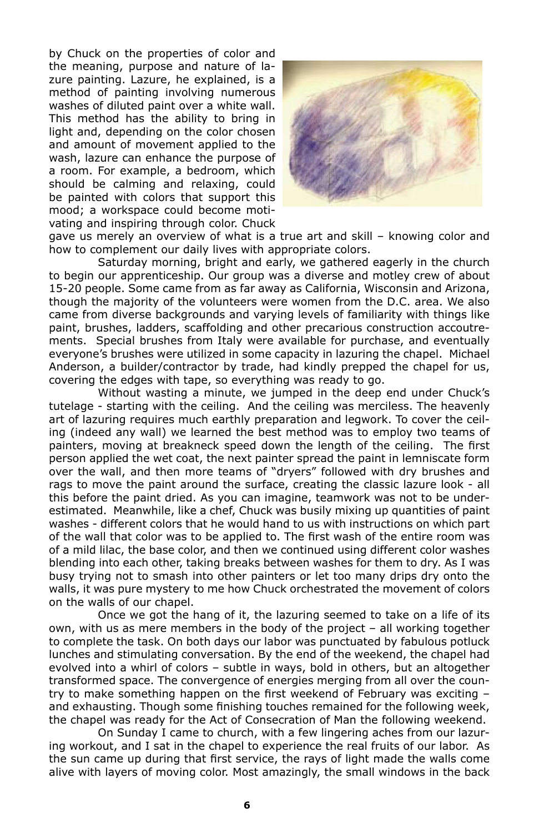by Chuck on the properties of color and the meaning, purpose and nature of lazure painting. Lazure, he explained, is a method of painting involving numerous washes of diluted paint over a white wall. This method has the ability to bring in light and, depending on the color chosen and amount of movement applied to the wash, lazure can enhance the purpose of a room. For example, a bedroom, which should be calming and relaxing, could be painted with colors that support this mood; a workspace could become motivating and inspiring through color. Chuck



gave us merely an overview of what is a true art and skill – knowing color and how to complement our daily lives with appropriate colors.

Saturday morning, bright and early, we gathered eagerly in the church to begin our apprenticeship. Our group was a diverse and motley crew of about 15-20 people. Some came from as far away as California, Wisconsin and Arizona, though the majority of the volunteers were women from the D.C. area. We also came from diverse backgrounds and varying levels of familiarity with things like paint, brushes, ladders, scaffolding and other precarious construction accoutrements. Special brushes from Italy were available for purchase, and eventually everyone's brushes were utilized in some capacity in lazuring the chapel. Michael Anderson, a builder/contractor by trade, had kindly prepped the chapel for us, covering the edges with tape, so everything was ready to go.

Without wasting a minute, we jumped in the deep end under Chuck's tutelage - starting with the ceiling. And the ceiling was merciless. The heavenly art of lazuring requires much earthly preparation and legwork. To cover the ceiling (indeed any wall) we learned the best method was to employ two teams of painters, moving at breakneck speed down the length of the ceiling. The first person applied the wet coat, the next painter spread the paint in lemniscate form over the wall, and then more teams of "dryers" followed with dry brushes and rags to move the paint around the surface, creating the classic lazure look - all this before the paint dried. As you can imagine, teamwork was not to be underestimated. Meanwhile, like a chef, Chuck was busily mixing up quantities of paint washes - different colors that he would hand to us with instructions on which part of the wall that color was to be applied to. The first wash of the entire room was of a mild lilac, the base color, and then we continued using different color washes blending into each other, taking breaks between washes for them to dry. As I was busy trying not to smash into other painters or let too many drips dry onto the walls, it was pure mystery to me how Chuck orchestrated the movement of colors on the walls of our chapel.

Once we got the hang of it, the lazuring seemed to take on a life of its own, with us as mere members in the body of the project – all working together to complete the task. On both days our labor was punctuated by fabulous potluck lunches and stimulating conversation. By the end of the weekend, the chapel had evolved into a whirl of colors – subtle in ways, bold in others, but an altogether transformed space. The convergence of energies merging from all over the country to make something happen on the first weekend of February was exciting – and exhausting. Though some finishing touches remained for the following week, the chapel was ready for the Act of Consecration of Man the following weekend.

On Sunday I came to church, with a few lingering aches from our lazuring workout, and I sat in the chapel to experience the real fruits of our labor. As the sun came up during that first service, the rays of light made the walls come alive with layers of moving color. Most amazingly, the small windows in the back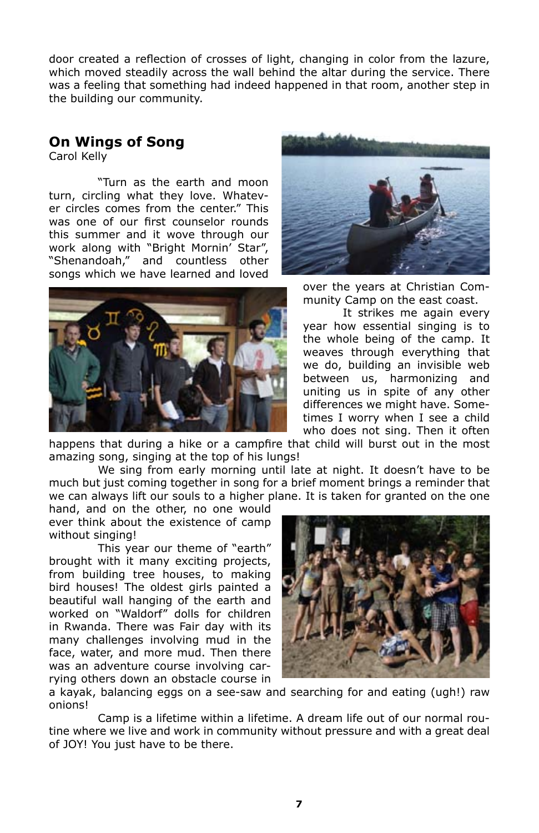door created a reflection of crosses of light, changing in color from the lazure, which moved steadily across the wall behind the altar during the service. There was a feeling that something had indeed happened in that room, another step in the building our community.

# **On Wings of Song**

Carol Kelly

"Turn as the earth and moon turn, circling what they love. Whatever circles comes from the center." This was one of our first counselor rounds this summer and it wove through our work along with "Bright Mornin' Star", "Shenandoah," and countless other songs which we have learned and loved





over the years at Christian Community Camp on the east coast.

It strikes me again every year how essential singing is to the whole being of the camp. It weaves through everything that we do, building an invisible web between us, harmonizing and uniting us in spite of any other differences we might have. Sometimes I worry when I see a child who does not sing. Then it often

happens that during a hike or a campfire that child will burst out in the most amazing song, singing at the top of his lungs!

We sing from early morning until late at night. It doesn't have to be much but just coming together in song for a brief moment brings a reminder that we can always lift our souls to a higher plane. It is taken for granted on the one

hand, and on the other, no one would ever think about the existence of camp without singing!

This year our theme of "earth" brought with it many exciting projects, from building tree houses, to making bird houses! The oldest girls painted a beautiful wall hanging of the earth and worked on "Waldorf" dolls for children in Rwanda. There was Fair day with its many challenges involving mud in the face, water, and more mud. Then there was an adventure course involving carrying others down an obstacle course in



a kayak, balancing eggs on a see-saw and searching for and eating (ugh!) raw onions!

Camp is a lifetime within a lifetime. A dream life out of our normal routine where we live and work in community without pressure and with a great deal of JOY! You just have to be there.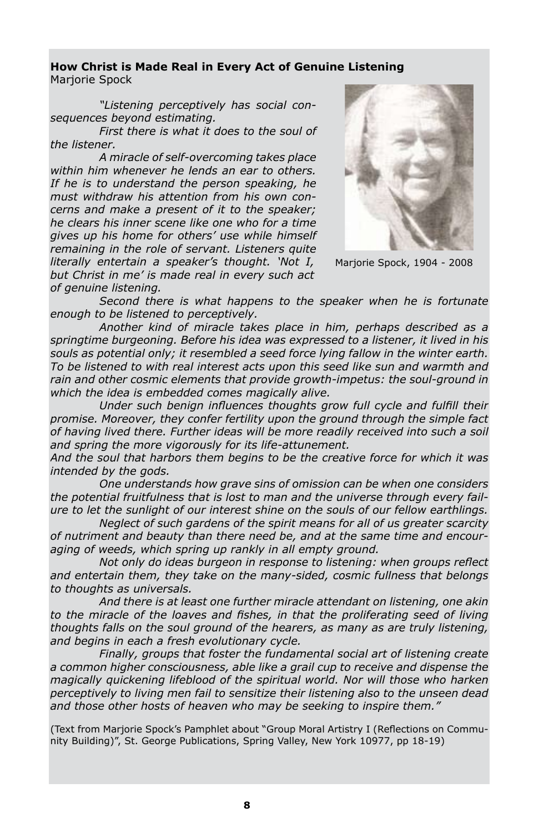### **How Christ is Made Real in Every Act of Genuine Listening** Mariorie Spock

*"Listening perceptively has social consequences beyond estimating.*

*First there is what it does to the soul of the listener.*

*A miracle of self-overcoming takes place within him whenever he lends an ear to others. If he is to understand the person speaking, he must withdraw his attention from his own concerns and make a present of it to the speaker; he clears his inner scene like one who for a time gives up his home for others' use while himself remaining in the role of servant. Listeners quite literally entertain a speaker's thought. 'Not I, but Christ in me' is made real in every such act of genuine listening.*



Marjorie Spock, 1904 - 2008

*Second there is what happens to the speaker when he is fortunate enough to be listened to perceptively.*

*Another kind of miracle takes place in him, perhaps described as a springtime burgeoning. Before his idea was expressed to a listener, it lived in his souls as potential only; it resembled a seed force lying fallow in the winter earth. To be listened to with real interest acts upon this seed like sun and warmth and rain and other cosmic elements that provide growth-impetus: the soul-ground in which the idea is embedded comes magically alive.* 

*Under such benign influences thoughts grow full cycle and fulfill their promise. Moreover, they confer fertility upon the ground through the simple fact of having lived there. Further ideas will be more readily received into such a soil and spring the more vigorously for its life-attunement.*

*And the soul that harbors them begins to be the creative force for which it was intended by the gods.*

*One understands how grave sins of omission can be when one considers the potential fruitfulness that is lost to man and the universe through every failure to let the sunlight of our interest shine on the souls of our fellow earthlings.*

*Neglect of such gardens of the spirit means for all of us greater scarcity of nutriment and beauty than there need be, and at the same time and encouraging of weeds, which spring up rankly in all empty ground.*

*Not only do ideas burgeon in response to listening: when groups reflect and entertain them, they take on the many-sided, cosmic fullness that belongs to thoughts as universals.*

*And there is at least one further miracle attendant on listening, one akin to the miracle of the loaves and fishes, in that the proliferating seed of living thoughts falls on the soul ground of the hearers, as many as are truly listening, and begins in each a fresh evolutionary cycle.*

*Finally, groups that foster the fundamental social art of listening create a common higher consciousness, able like a grail cup to receive and dispense the magically quickening lifeblood of the spiritual world. Nor will those who harken perceptively to living men fail to sensitize their listening also to the unseen dead and those other hosts of heaven who may be seeking to inspire them."* 

(Text from Marjorie Spock's Pamphlet about "Group Moral Artistry I (Reflections on Community Building)", St. George Publications, Spring Valley, New York 10977, pp 18-19)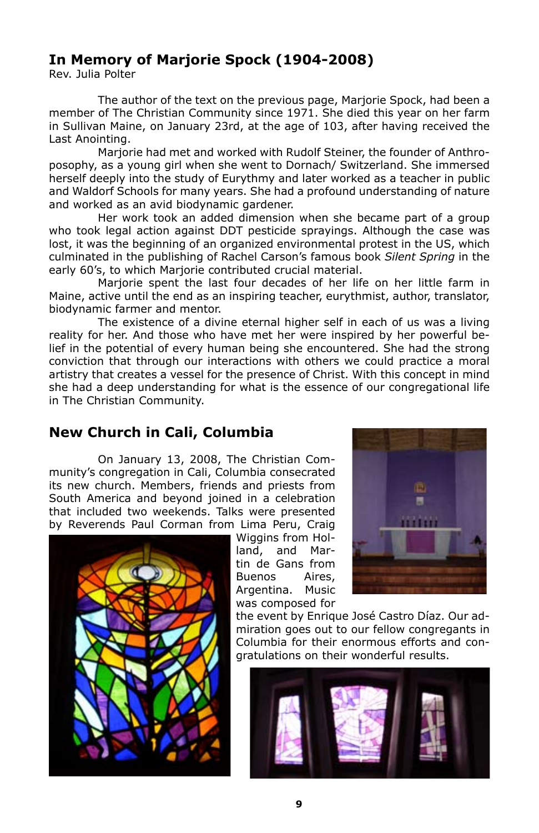# **In Memory of Marjorie Spock (1904-2008)**

Rev. Julia Polter

The author of the text on the previous page, Marjorie Spock, had been a member of The Christian Community since 1971. She died this year on her farm in Sullivan Maine, on January 23rd, at the age of 103, after having received the Last Anointing.

Marjorie had met and worked with Rudolf Steiner, the founder of Anthroposophy, as a young girl when she went to Dornach/ Switzerland. She immersed herself deeply into the study of Eurythmy and later worked as a teacher in public and Waldorf Schools for many years. She had a profound understanding of nature and worked as an avid biodynamic gardener.

Her work took an added dimension when she became part of a group who took legal action against DDT pesticide sprayings. Although the case was lost, it was the beginning of an organized environmental protest in the US, which culminated in the publishing of Rachel Carson's famous book *Silent Spring* in the early 60's, to which Marjorie contributed crucial material.

Marjorie spent the last four decades of her life on her little farm in Maine, active until the end as an inspiring teacher, eurythmist, author, translator, biodynamic farmer and mentor.

The existence of a divine eternal higher self in each of us was a living reality for her. And those who have met her were inspired by her powerful belief in the potential of every human being she encountered. She had the strong conviction that through our interactions with others we could practice a moral artistry that creates a vessel for the presence of Christ. With this concept in mind she had a deep understanding for what is the essence of our congregational life in The Christian Community.

# **New Church in Cali, Columbia**

On January 13, 2008, The Christian Community's congregation in Cali, Columbia consecrated its new church. Members, friends and priests from South America and beyond joined in a celebration that included two weekends. Talks were presented by Reverends Paul Corman from Lima Peru, Craig



Wiggins from Holland, and Martin de Gans from Buenos Aires, Argentina. Music was composed for



the event by Enrique José Castro Díaz. Our admiration goes out to our fellow congregants in Columbia for their enormous efforts and congratulations on their wonderful results.

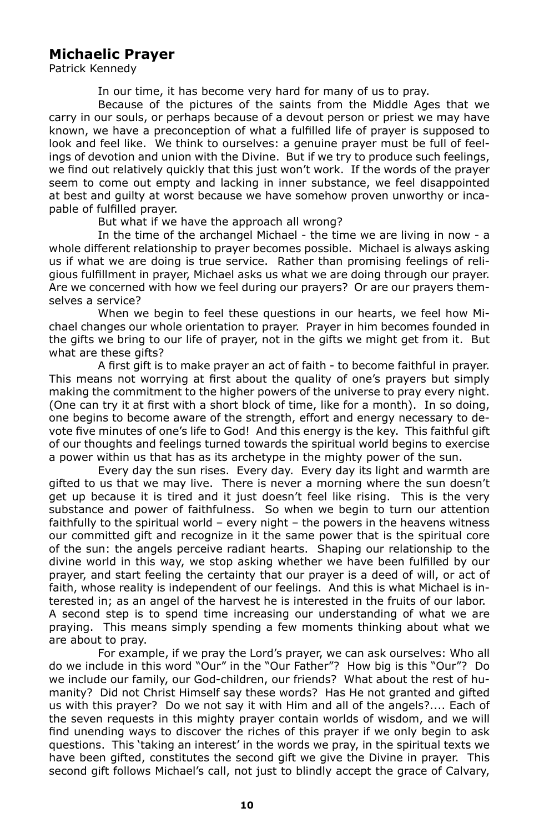# **Michaelic Prayer**

Patrick Kennedy

In our time, it has become very hard for many of us to pray.

Because of the pictures of the saints from the Middle Ages that we carry in our souls, or perhaps because of a devout person or priest we may have known, we have a preconception of what a fulfilled life of prayer is supposed to look and feel like. We think to ourselves: a genuine prayer must be full of feelings of devotion and union with the Divine. But if we try to produce such feelings, we find out relatively quickly that this just won't work. If the words of the prayer seem to come out empty and lacking in inner substance, we feel disappointed at best and guilty at worst because we have somehow proven unworthy or incapable of fulfilled prayer.

But what if we have the approach all wrong?

In the time of the archangel Michael - the time we are living in now - a whole different relationship to prayer becomes possible. Michael is always asking us if what we are doing is true service. Rather than promising feelings of religious fulfillment in prayer, Michael asks us what we are doing through our prayer. Are we concerned with how we feel during our prayers? Or are our prayers themselves a service?

When we begin to feel these questions in our hearts, we feel how Michael changes our whole orientation to prayer. Prayer in him becomes founded in the gifts we bring to our life of prayer, not in the gifts we might get from it. But what are these gifts?

A first gift is to make prayer an act of faith - to become faithful in prayer. This means not worrying at first about the quality of one's prayers but simply making the commitment to the higher powers of the universe to pray every night. (One can try it at first with a short block of time, like for a month). In so doing, one begins to become aware of the strength, effort and energy necessary to devote five minutes of one's life to God! And this energy is the key. This faithful gift of our thoughts and feelings turned towards the spiritual world begins to exercise a power within us that has as its archetype in the mighty power of the sun.

Every day the sun rises. Every day. Every day its light and warmth are gifted to us that we may live. There is never a morning where the sun doesn't get up because it is tired and it just doesn't feel like rising. This is the very substance and power of faithfulness. So when we begin to turn our attention faithfully to the spiritual world – every night – the powers in the heavens witness our committed gift and recognize in it the same power that is the spiritual core of the sun: the angels perceive radiant hearts. Shaping our relationship to the divine world in this way, we stop asking whether we have been fulfilled by our prayer, and start feeling the certainty that our prayer is a deed of will, or act of faith, whose reality is independent of our feelings. And this is what Michael is interested in; as an angel of the harvest he is interested in the fruits of our labor. A second step is to spend time increasing our understanding of what we are praying. This means simply spending a few moments thinking about what we are about to pray.

For example, if we pray the Lord's prayer, we can ask ourselves: Who all do we include in this word "Our" in the "Our Father"? How big is this "Our"? Do we include our family, our God-children, our friends? What about the rest of humanity? Did not Christ Himself say these words? Has He not granted and gifted us with this prayer? Do we not say it with Him and all of the angels?.... Each of the seven requests in this mighty prayer contain worlds of wisdom, and we will find unending ways to discover the riches of this prayer if we only begin to ask questions. This 'taking an interest' in the words we pray, in the spiritual texts we have been gifted, constitutes the second gift we give the Divine in prayer. This second gift follows Michael's call, not just to blindly accept the grace of Calvary,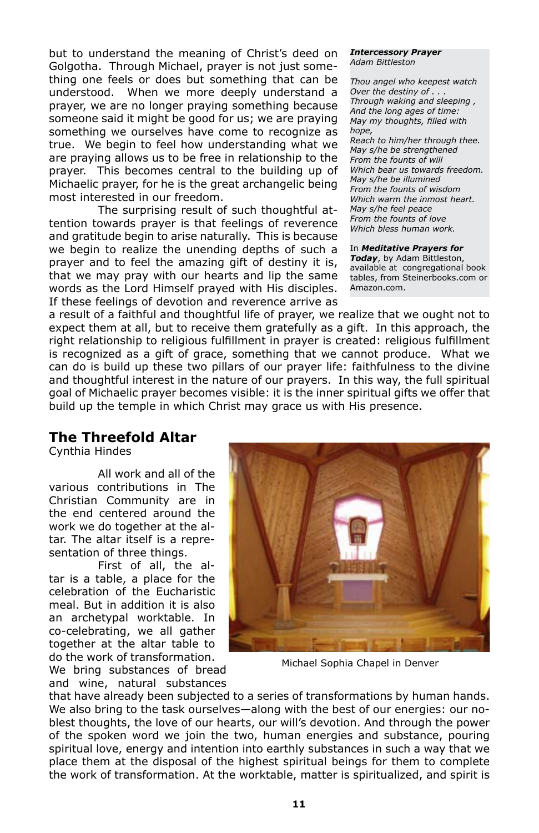but to understand the meaning of Christ's deed on Golgotha. Through Michael, prayer is not just something one feels or does but something that can be understood. When we more deeply understand a prayer, we are no longer praying something because someone said it might be good for us; we are praying something we ourselves have come to recognize as true. We begin to feel how understanding what we are praying allows us to be free in relationship to the prayer. This becomes central to the building up of Michaelic prayer, for he is the great archangelic being most interested in our freedom.

The surprising result of such thoughtful attention towards prayer is that feelings of reverence and gratitude begin to arise naturally. This is because we begin to realize the unending depths of such a prayer and to feel the amazing gift of destiny it is, that we may pray with our hearts and lip the same words as the Lord Himself prayed with His disciples. If these feelings of devotion and reverence arrive as *Intercessory Prayer Adam Bittleston*

*Thou angel who keepest watch Over the destiny of . . . Through waking and sleeping , And the long ages of time: May my thoughts, filled with hope, Reach to him/her through thee. May s/he be strengthened From the founts of will Which bear us towards freedom. May s/he be illumined From the founts of wisdom Which warm the inmost heart. May s/he feel peace From the founts of love Which bless human work.*

#### In *Meditative Prayers for*

*Today*, by Adam Bittleston, available at congregational book tables, from Steinerbooks.com or Amazon.com.

a result of a faithful and thoughtful life of prayer, we realize that we ought not to expect them at all, but to receive them gratefully as a gift. In this approach, the right relationship to religious fulfillment in prayer is created: religious fulfillment is recognized as a gift of grace, something that we cannot produce. What we can do is build up these two pillars of our prayer life: faithfulness to the divine and thoughtful interest in the nature of our prayers. In this way, the full spiritual goal of Michaelic prayer becomes visible: it is the inner spiritual gifts we offer that build up the temple in which Christ may grace us with His presence.

### **The Threefold Altar**

Cynthia Hindes

All work and all of the various contributions in The Christian Community are in the end centered around the work we do together at the altar. The altar itself is a representation of three things.

First of all, the altar is a table, a place for the celebration of the Eucharistic meal. But in addition it is also an archetypal worktable. In co-celebrating, we all gather together at the altar table to do the work of transformation.

We bring substances of bread and wine, natural substances



Michael Sophia Chapel in Denver

that have already been subjected to a series of transformations by human hands. We also bring to the task ourselves—along with the best of our energies: our noblest thoughts, the love of our hearts, our will's devotion. And through the power of the spoken word we join the two, human energies and substance, pouring spiritual love, energy and intention into earthly substances in such a way that we place them at the disposal of the highest spiritual beings for them to complete the work of transformation. At the worktable, matter is spiritualized, and spirit is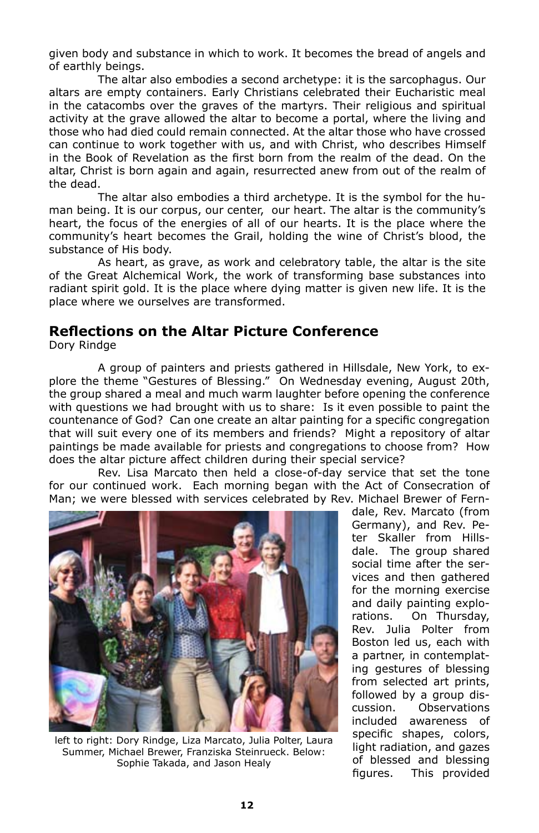given body and substance in which to work. It becomes the bread of angels and of earthly beings.

The altar also embodies a second archetype: it is the sarcophagus. Our altars are empty containers. Early Christians celebrated their Eucharistic meal in the catacombs over the graves of the martyrs. Their religious and spiritual activity at the grave allowed the altar to become a portal, where the living and those who had died could remain connected. At the altar those who have crossed can continue to work together with us, and with Christ, who describes Himself in the Book of Revelation as the first born from the realm of the dead. On the altar, Christ is born again and again, resurrected anew from out of the realm of the dead.

The altar also embodies a third archetype. It is the symbol for the human being. It is our corpus, our center, our heart. The altar is the community's heart, the focus of the energies of all of our hearts. It is the place where the community's heart becomes the Grail, holding the wine of Christ's blood, the substance of His body.

As heart, as grave, as work and celebratory table, the altar is the site of the Great Alchemical Work, the work of transforming base substances into radiant spirit gold. It is the place where dying matter is given new life. It is the place where we ourselves are transformed.

### **Reflections on the Altar Picture Conference** Dory Rindge

A group of painters and priests gathered in Hillsdale, New York, to explore the theme "Gestures of Blessing." On Wednesday evening, August 20th, the group shared a meal and much warm laughter before opening the conference with questions we had brought with us to share: Is it even possible to paint the countenance of God? Can one create an altar painting for a specific congregation that will suit every one of its members and friends? Might a repository of altar

does the altar picture affect children during their special service? Rev. Lisa Marcato then held a close-of-day service that set the tone for our continued work. Each morning began with the Act of Consecration of Man; we were blessed with services celebrated by Rev. Michael Brewer of Fern-

paintings be made available for priests and congregations to choose from? How



left to right: Dory Rindge, Liza Marcato, Julia Polter, Laura Summer, Michael Brewer, Franziska Steinrueck. Below: Sophie Takada, and Jason Healy

dale, Rev. Marcato (from Germany), and Rev. Peter Skaller from Hillsdale. The group shared social time after the services and then gathered for the morning exercise and daily painting explorations. On Thursday, Rev. Julia Polter from Boston led us, each with a partner, in contemplating gestures of blessing from selected art prints, followed by a group discussion. Observations included awareness of specific shapes, colors, light radiation, and gazes of blessed and blessing figures. This provided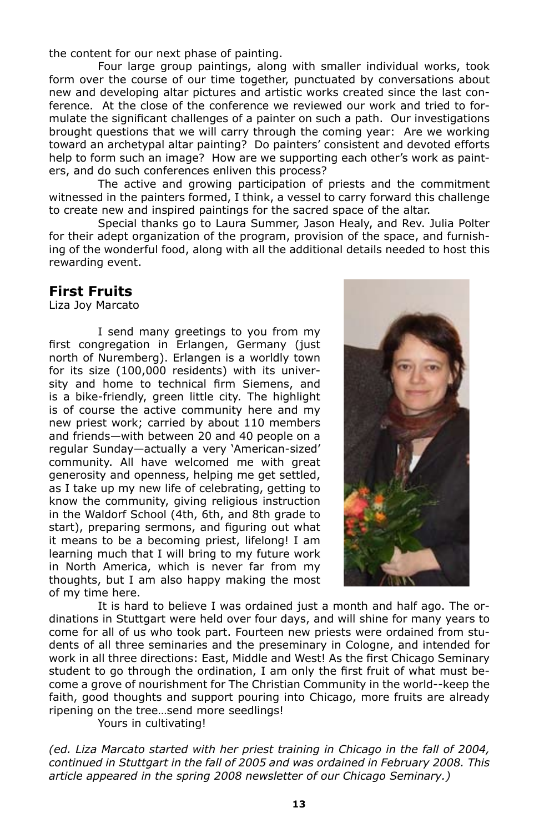the content for our next phase of painting.

Four large group paintings, along with smaller individual works, took form over the course of our time together, punctuated by conversations about new and developing altar pictures and artistic works created since the last conference. At the close of the conference we reviewed our work and tried to formulate the significant challenges of a painter on such a path. Our investigations brought questions that we will carry through the coming year: Are we working toward an archetypal altar painting? Do painters' consistent and devoted efforts help to form such an image? How are we supporting each other's work as painters, and do such conferences enliven this process?

The active and growing participation of priests and the commitment witnessed in the painters formed, I think, a vessel to carry forward this challenge to create new and inspired paintings for the sacred space of the altar.

Special thanks go to Laura Summer, Jason Healy, and Rev. Julia Polter for their adept organization of the program, provision of the space, and furnishing of the wonderful food, along with all the additional details needed to host this rewarding event.

## **First Fruits**

Liza Joy Marcato

I send many greetings to you from my first congregation in Erlangen, Germany (just north of Nuremberg). Erlangen is a worldly town for its size (100,000 residents) with its university and home to technical firm Siemens, and is a bike-friendly, green little city. The highlight is of course the active community here and my new priest work; carried by about 110 members and friends—with between 20 and 40 people on a regular Sunday—actually a very 'American-sized' community. All have welcomed me with great generosity and openness, helping me get settled, as I take up my new life of celebrating, getting to know the community, giving religious instruction in the Waldorf School (4th, 6th, and 8th grade to start), preparing sermons, and figuring out what it means to be a becoming priest, lifelong! I am learning much that I will bring to my future work in North America, which is never far from my thoughts, but I am also happy making the most of my time here.



It is hard to believe I was ordained just a month and half ago. The ordinations in Stuttgart were held over four days, and will shine for many years to come for all of us who took part. Fourteen new priests were ordained from students of all three seminaries and the preseminary in Cologne, and intended for work in all three directions: East, Middle and West! As the first Chicago Seminary student to go through the ordination, I am only the first fruit of what must become a grove of nourishment for The Christian Community in the world--keep the faith, good thoughts and support pouring into Chicago, more fruits are already ripening on the tree…send more seedlings!

Yours in cultivating!

*(ed. Liza Marcato started with her priest training in Chicago in the fall of 2004, continued in Stuttgart in the fall of 2005 and was ordained in February 2008. This article appeared in the spring 2008 newsletter of our Chicago Seminary.)*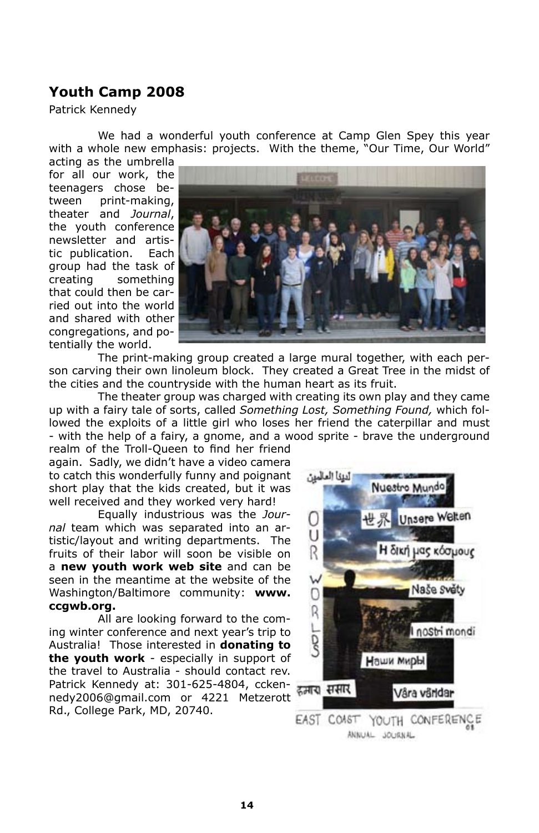# **Youth Camp 2008**

Patrick Kennedy

We had a wonderful youth conference at Camp Glen Spey this year with a whole new emphasis: projects. With the theme, "Our Time, Our World"

acting as the umbrella for all our work, the teenagers chose between print-making, theater and *Journal*, the youth conference newsletter and artistic publication. Each group had the task of creating something that could then be carried out into the world and shared with other congregations, and potentially the world.



The print-making group created a large mural together, with each person carving their own linoleum block. They created a Great Tree in the midst of the cities and the countryside with the human heart as its fruit.

The theater group was charged with creating its own play and they came up with a fairy tale of sorts, called *Something Lost, Something Found,* which followed the exploits of a little girl who loses her friend the caterpillar and must - with the help of a fairy, a gnome, and a wood sprite - brave the underground

realm of the Troll-Queen to find her friend again. Sadly, we didn't have a video camera to catch this wonderfully funny and poignant short play that the kids created, but it was well received and they worked very hard!

Equally industrious was the *Journal* team which was separated into an artistic/layout and writing departments. The fruits of their labor will soon be visible on a **new youth work web site** and can be seen in the meantime at the website of the Washington/Baltimore community: **www. ccgwb.org.**

All are looking forward to the coming winter conference and next year's trip to Australia! Those interested in **donating to the youth work** - especially in support of the travel to Australia - should contact rev. Patrick Kennedy at: 301-625-4804, cckennedy2006@gmail.com or 4221 Metzerott Rd., College Park, MD, 20740.

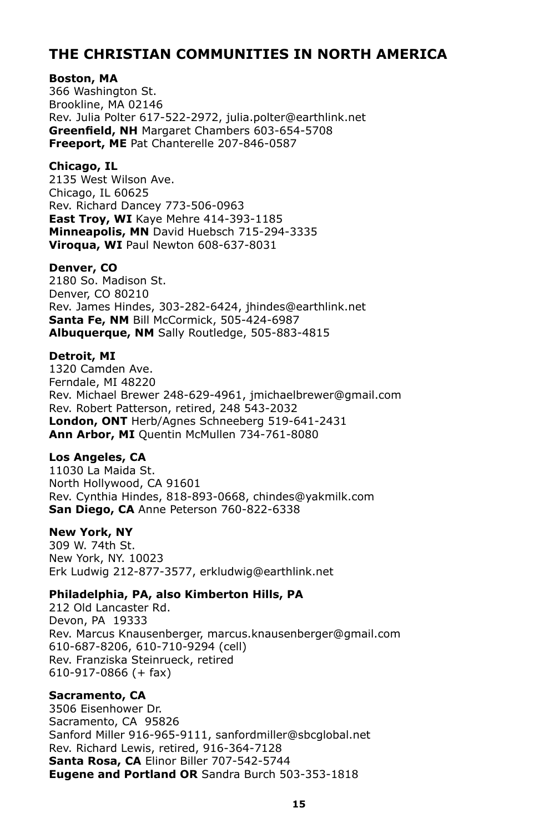# **THE CHRISTIAN COMMUNITIES IN NORTH AMERICA**

### **Boston, MA**

366 Washington St. Brookline, MA 02146 Rev. Julia Polter 617-522-2972, julia.polter@earthlink.net **Greenfield, NH** Margaret Chambers 603-654-5708 **Freeport, ME** Pat Chanterelle 207-846-0587

### **Chicago, IL**

2135 West Wilson Ave. Chicago, IL 60625 Rev. Richard Dancey 773-506-0963 **East Troy, WI** Kaye Mehre 414-393-1185 **Minneapolis, MN** David Huebsch 715-294-3335 **Viroqua, WI** Paul Newton 608-637-8031

### **Denver, CO**

2180 So. Madison St. Denver, CO 80210 Rev. James Hindes, 303-282-6424, jhindes@earthlink.net **Santa Fe, NM** Bill McCormick, 505-424-6987 **Albuquerque, NM** Sally Routledge, 505-883-4815

### **Detroit, MI**

1320 Camden Ave. Ferndale, MI 48220 Rev. Michael Brewer 248-629-4961, jmichaelbrewer@gmail.com Rev. Robert Patterson, retired, 248 543-2032 **London, ONT** Herb/Agnes Schneeberg 519-641-2431 **Ann Arbor, MI** Quentin McMullen 734-761-8080

### **Los Angeles, CA**

11030 La Maida St. North Hollywood, CA 91601 Rev. Cynthia Hindes, 818-893-0668, chindes@yakmilk.com **San Diego, CA** Anne Peterson 760-822-6338

### **New York, NY**

309 W. 74th St. New York, NY. 10023 Erk Ludwig 212-877-3577, erkludwig@earthlink.net

### **Philadelphia, PA, also Kimberton Hills, PA**

212 Old Lancaster Rd. Devon, PA 19333 Rev. Marcus Knausenberger, marcus.knausenberger@gmail.com 610-687-8206, 610-710-9294 (cell) Rev. Franziska Steinrueck, retired 610-917-0866 (+ fax)

### **Sacramento, CA**

3506 Eisenhower Dr. Sacramento, CA 95826 Sanford Miller 916-965-9111, sanfordmiller@sbcglobal.net Rev. Richard Lewis, retired, 916-364-7128 **Santa Rosa, CA** Elinor Biller 707-542-5744 **Eugene and Portland OR** Sandra Burch 503-353-1818